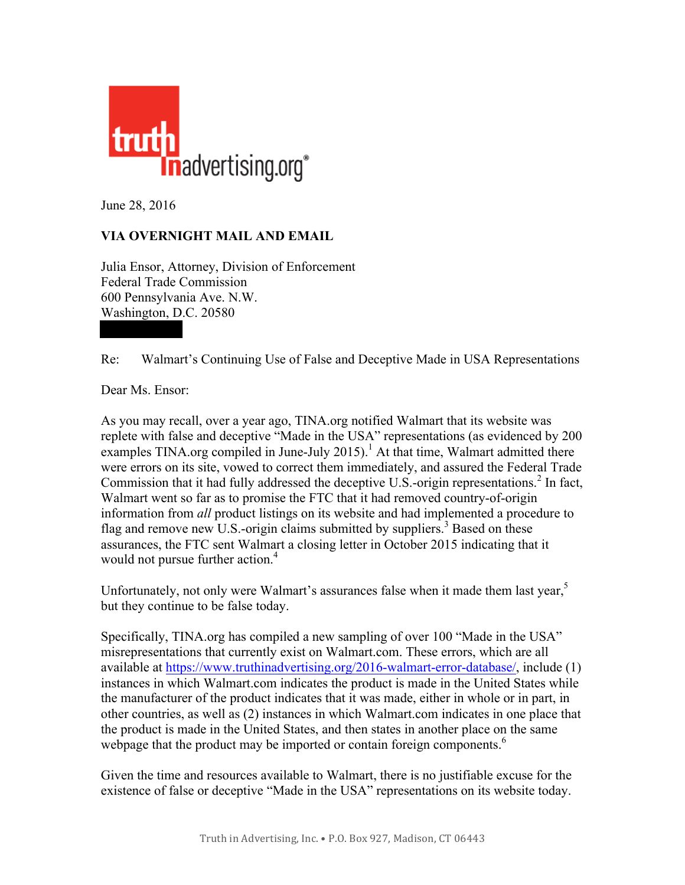

June 28, 2016

## **VIA OVERNIGHT MAIL AND EMAIL**

Julia Ensor, Attorney, Division of Enforcement Federal Trade Commission 600 Pennsylvania Ave. N.W. Washington, D.C. 20580

Re: Walmart's Continuing Use of False and Deceptive Made in USA Representations

Dear Ms. Ensor:

As you may recall, over a year ago, TINA.org notified Walmart that its website was replete with false and deceptive "Made in the USA" representations (as evidenced by 200 examples TINA.org compiled in June-July 2015).<sup>1</sup> At that time, Walmart admitted there were errors on its site, vowed to correct them immediately, and assured the Federal Trade Commission that it had fully addressed the deceptive U.S.-origin representations.<sup>2</sup> In fact, Walmart went so far as to promise the FTC that it had removed country-of-origin information from *all* product listings on its website and had implemented a procedure to flag and remove new U.S.-origin claims submitted by suppliers.<sup>3</sup> Based on these assurances, the FTC sent Walmart a closing letter in October 2015 indicating that it would not pursue further action.<sup>4</sup>

Unfortunately, not only were Walmart's assurances false when it made them last year,<sup>5</sup> but they continue to be false today.

Specifically, TINA.org has compiled a new sampling of over 100 "Made in the USA" misrepresentations that currently exist on Walmart.com. These errors, which are all available at https://www.truthinadvertising.org/2016-walmart-error-database/, include (1) instances in which Walmart.com indicates the product is made in the United States while the manufacturer of the product indicates that it was made, either in whole or in part, in other countries, as well as (2) instances in which Walmart.com indicates in one place that the product is made in the United States, and then states in another place on the same webpage that the product may be imported or contain foreign components.<sup>6</sup>

Given the time and resources available to Walmart, there is no justifiable excuse for the existence of false or deceptive "Made in the USA" representations on its website today.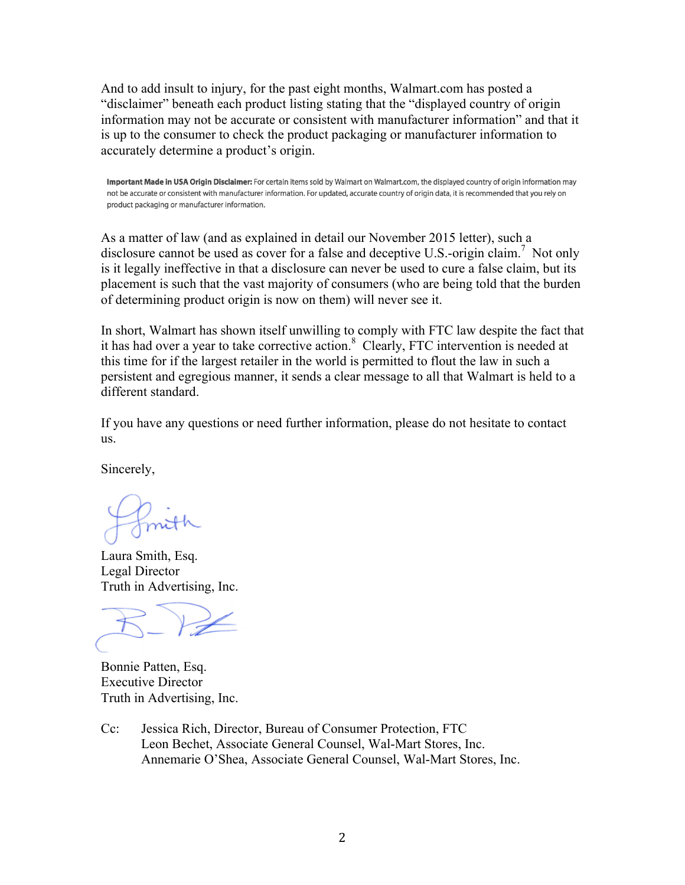And to add insult to injury, for the past eight months, Walmart.com has posted a "disclaimer" beneath each product listing stating that the "displayed country of origin information may not be accurate or consistent with manufacturer information" and that it is up to the consumer to check the product packaging or manufacturer information to accurately determine a product's origin.

Important Made in USA Origin Disclaimer: For certain items sold by Walmart on Walmart.com, the displayed country of origin information may not be accurate or consistent with manufacturer information. For updated, accurate country of origin data, it is recommended that you rely on product packaging or manufacturer information.

As a matter of law (and as explained in detail our November 2015 letter), such a disclosure cannot be used as cover for a false and deceptive U.S.-origin claim.<sup>7</sup> Not only is it legally ineffective in that a disclosure can never be used to cure a false claim, but its placement is such that the vast majority of consumers (who are being told that the burden of determining product origin is now on them) will never see it.

In short, Walmart has shown itself unwilling to comply with FTC law despite the fact that it has had over a year to take corrective action.<sup>8</sup> Clearly, FTC intervention is needed at this time for if the largest retailer in the world is permitted to flout the law in such a persistent and egregious manner, it sends a clear message to all that Walmart is held to a different standard.

If you have any questions or need further information, please do not hesitate to contact us.

Sincerely,

Laura Smith, Esq. Legal Director Truth in Advertising, Inc.

Bonnie Patten, Esq. Executive Director Truth in Advertising, Inc.

Cc: Jessica Rich, Director, Bureau of Consumer Protection, FTC Leon Bechet, Associate General Counsel, Wal-Mart Stores, Inc. Annemarie O'Shea, Associate General Counsel, Wal-Mart Stores, Inc.